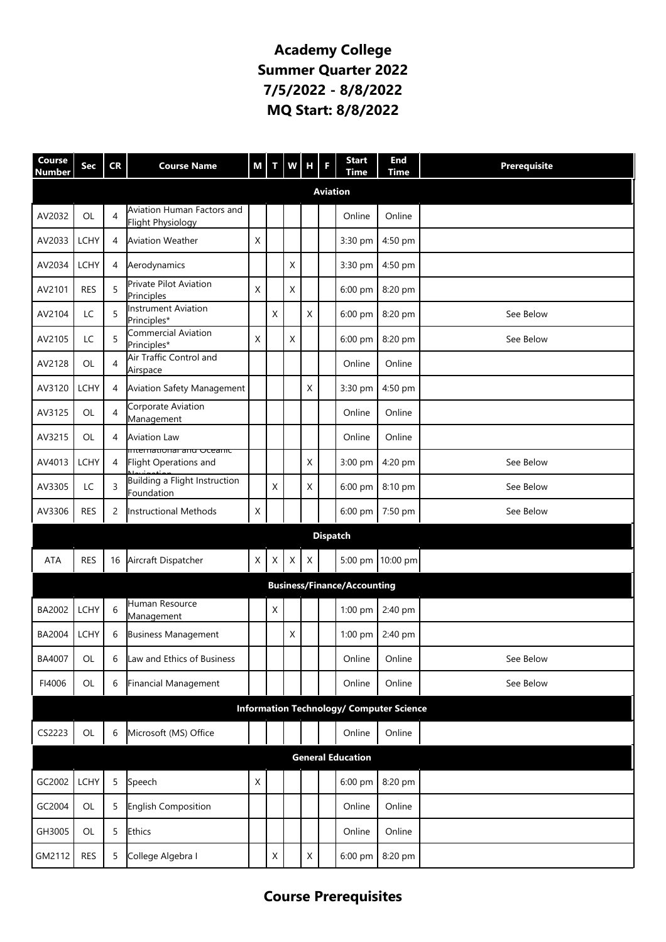## **Academy College Summer Quarter 2022 7/5/2022 - 8/8/2022 MQ Start: 8/8/2022**

| Course<br><b>Number</b>                         | Sec            | <b>CR</b>      | <b>Course Name</b>                                     | М | т           | w            | н | F | <b>Start</b><br><b>Time</b> | <b>End</b><br><b>Time</b> | <b>Prerequisite</b> |
|-------------------------------------------------|----------------|----------------|--------------------------------------------------------|---|-------------|--------------|---|---|-----------------------------|---------------------------|---------------------|
| <b>Aviation</b>                                 |                |                |                                                        |   |             |              |   |   |                             |                           |                     |
| AV2032                                          | OL             | $\overline{4}$ | Aviation Human Factors and<br><b>Flight Physiology</b> |   |             |              |   |   | Online                      | Online                    |                     |
| AV2033                                          | <b>LCHY</b>    | 4              | <b>Aviation Weather</b>                                | X |             |              |   |   | 3:30 pm                     | 4:50 pm                   |                     |
| AV2034                                          | <b>LCHY</b>    | 4              | Aerodynamics                                           |   |             | X            |   |   | 3:30 pm                     | 4:50 pm                   |                     |
| AV2101                                          | <b>RES</b>     | 5              | Private Pilot Aviation<br>Principles                   | X |             | Χ            |   |   | 6:00 pm                     | 8:20 pm                   |                     |
| AV2104                                          | LC             | 5              | <b>Instrument Aviation</b><br>Principles*              |   | Χ           |              | X |   | 6:00 pm                     | 8:20 pm                   | See Below           |
| AV2105                                          | LC             | 5              | Commercial Aviation<br>Principles*                     | X |             | $\mathsf{X}$ |   |   | 6:00 pm                     | 8:20 pm                   | See Below           |
| AV2128                                          | OL             | $\overline{4}$ | Air Traffic Control and<br>Airspace                    |   |             |              |   |   | Online                      | Online                    |                     |
| AV3120                                          | <b>LCHY</b>    | 4              | <b>Aviation Safety Management</b>                      |   |             |              | X |   | 3:30 pm                     | 4:50 pm                   |                     |
| AV3125                                          | OL             | $\overline{4}$ | Corporate Aviation<br>Management                       |   |             |              |   |   | Online                      | Online                    |                     |
| AV3215                                          | OL             | 4              | <b>Aviation Law</b>                                    |   |             |              |   |   | Online                      | Online                    |                     |
| AV4013                                          | <b>LCHY</b>    | 4              | international and Oceanic<br>Flight Operations and     |   |             |              | X |   | 3:00 pm                     | 4:20 pm                   | See Below           |
| AV3305                                          | LC             | 3              | Building a Flight Instruction<br>Foundation            |   | X           |              | Χ |   | 6:00 pm                     | 8:10 pm                   | See Below           |
| AV3306                                          | <b>RES</b>     | 2              | <b>Instructional Methods</b>                           | X |             |              |   |   | 6:00 pm                     | 7:50 pm                   | See Below           |
| <b>Dispatch</b>                                 |                |                |                                                        |   |             |              |   |   |                             |                           |                     |
| <b>ATA</b>                                      | <b>RES</b>     | 16             | Aircraft Dispatcher                                    | X | X           | X            | X |   |                             | 5:00 pm 10:00 pm          |                     |
| <b>Business/Finance/Accounting</b>              |                |                |                                                        |   |             |              |   |   |                             |                           |                     |
| BA2002                                          | <b>LCHY</b>    | 6              | Human Resource<br>Management                           |   | Χ           |              |   |   | 1:00 pm                     | 2:40 pm                   |                     |
| BA2004                                          | <b>LCHY</b>    | 6              | <b>Business Management</b>                             |   |             | X            |   |   | $1:00$ pm                   | 2:40 pm                   |                     |
| BA4007                                          | $\mathsf{OL}%$ | 6              | Law and Ethics of Business                             |   |             |              |   |   | Online                      | Online                    | See Below           |
| FI4006                                          | OL             | 6              | Financial Management                                   |   |             |              |   |   | Online                      | Online                    | See Below           |
| <b>Information Technology/ Computer Science</b> |                |                |                                                        |   |             |              |   |   |                             |                           |                     |
| CS2223                                          | OL             | 6              | Microsoft (MS) Office                                  |   |             |              |   |   | Online                      | Online                    |                     |
| <b>General Education</b>                        |                |                |                                                        |   |             |              |   |   |                             |                           |                     |
| GC2002                                          | <b>LCHY</b>    | 5              | Speech                                                 | X |             |              |   |   | 6:00 pm                     | 8:20 pm                   |                     |
| GC2004                                          | OL             | 5              | English Composition                                    |   |             |              |   |   | Online                      | Online                    |                     |
| GH3005                                          | OL             | 5              | <b>Ethics</b>                                          |   |             |              |   |   | Online                      | Online                    |                     |
| GM2112                                          | <b>RES</b>     | 5              | College Algebra I                                      |   | $\mathsf X$ |              | X |   | 6:00 pm                     | 8:20 pm                   |                     |

## **Course Prerequisites**